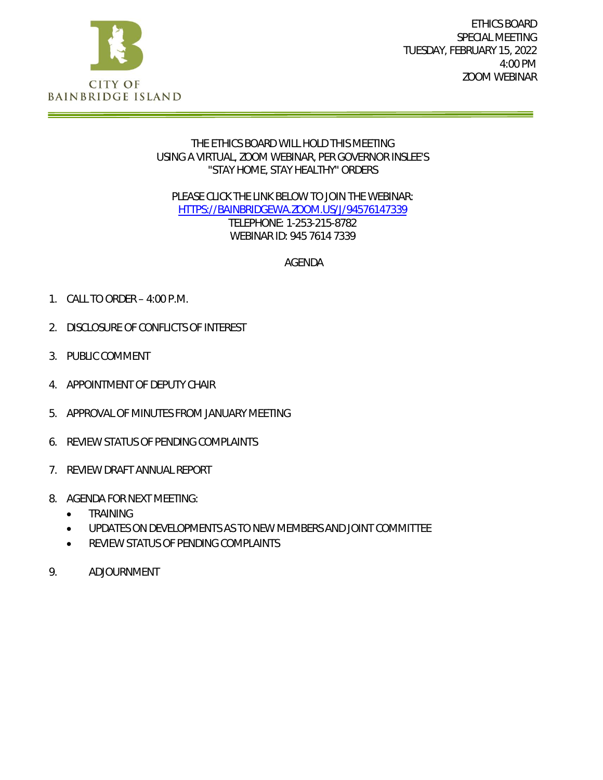

ETHICS BOARD SPECIAL MEETING TUESDAY, FEBRUARY 15, 2022 4:00 PM ZOOM WEBINAR

#### THE ETHICS BOARD WILL HOLD THIS MEETING USING A VIRTUAL, ZOOM WEBINAR, PER GOVERNOR INSLEE'S "STAY HOME, STAY HEALTHY" ORDERS

PLEASE CLICK THE LINK BELOW TO JOIN THE WEBINAR: [HTTPS://BAINBRIDGEWA.ZOOM.US/J/94576147339](https://bainbridgewa.zoom.us/j/94576147339) TELEPHONE: 1-253-215-8782 WEBINAR ID: 945 7614 7339

AGENDA

- 1. CALL TO ORDER 4:00 P.M.
- 2. DISCLOSURE OF CONFLICTS OF INTEREST
- 3. PUBLIC COMMENT
- 4. APPOINTMENT OF DEPUTY CHAIR
- 5. APPROVAL OF MINUTES FROM JANUARY MEETING
- 6. REVIEW STATUS OF PENDING COMPLAINTS
- 7. REVIEW DRAFT ANNUAL REPORT
- 8. AGENDA FOR NEXT MEETING:
	- **•** TRAINING
	- UPDATES ON DEVELOPMENTS AS TO NEW MEMBERS AND JOINT COMMITTEE
	- **REVIEW STATUS OF PENDING COMPLAINTS**
- 9. ADJOURNMENT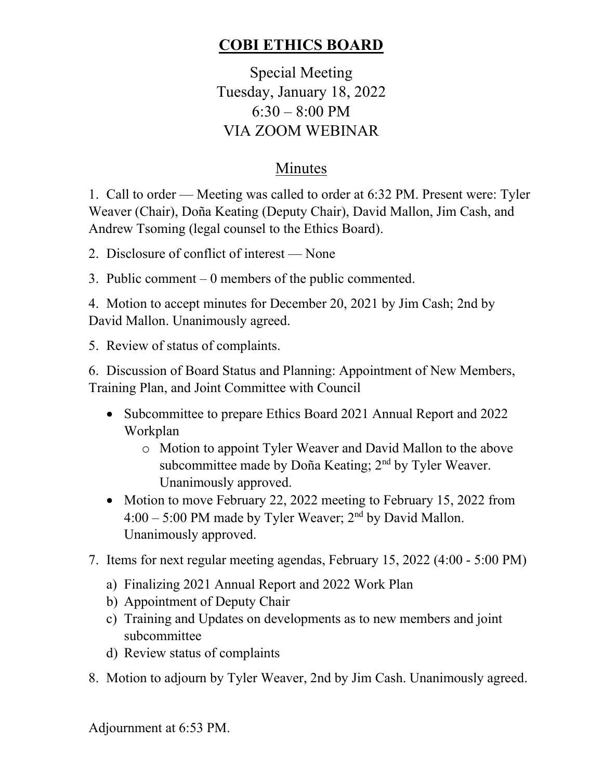# **COBI ETHICS BOARD**

Special Meeting Tuesday, January 18, 2022  $6:30 - 8:00$  PM VIA ZOOM WEBINAR

## Minutes

1. Call to order — Meeting was called to order at 6:32 PM. Present were: Tyler Weaver (Chair), Doña Keating (Deputy Chair), David Mallon, Jim Cash, and Andrew Tsoming (legal counsel to the Ethics Board).

2. Disclosure of conflict of interest — None

3. Public comment – 0 members of the public commented.

4. Motion to accept minutes for December 20, 2021 by Jim Cash; 2nd by David Mallon. Unanimously agreed.

5. Review of status of complaints.

6. Discussion of Board Status and Planning: Appointment of New Members, Training Plan, and Joint Committee with Council

- Subcommittee to prepare Ethics Board 2021 Annual Report and 2022 Workplan
	- o Motion to appoint Tyler Weaver and David Mallon to the above subcommittee made by Doña Keating; 2<sup>nd</sup> by Tyler Weaver. Unanimously approved.
- Motion to move February 22, 2022 meeting to February 15, 2022 from  $4:00 - 5:00 \text{ PM}$  made by Tyler Weaver;  $2^{\text{nd}}$  by David Mallon. Unanimously approved.
- 7. Items for next regular meeting agendas, February 15, 2022 (4:00 5:00 PM)
	- a) Finalizing 2021 Annual Report and 2022 Work Plan
	- b) Appointment of Deputy Chair
	- c) Training and Updates on developments as to new members and joint subcommittee
	- d) Review status of complaints
- 8. Motion to adjourn by Tyler Weaver, 2nd by Jim Cash. Unanimously agreed.

Adjournment at 6:53 PM.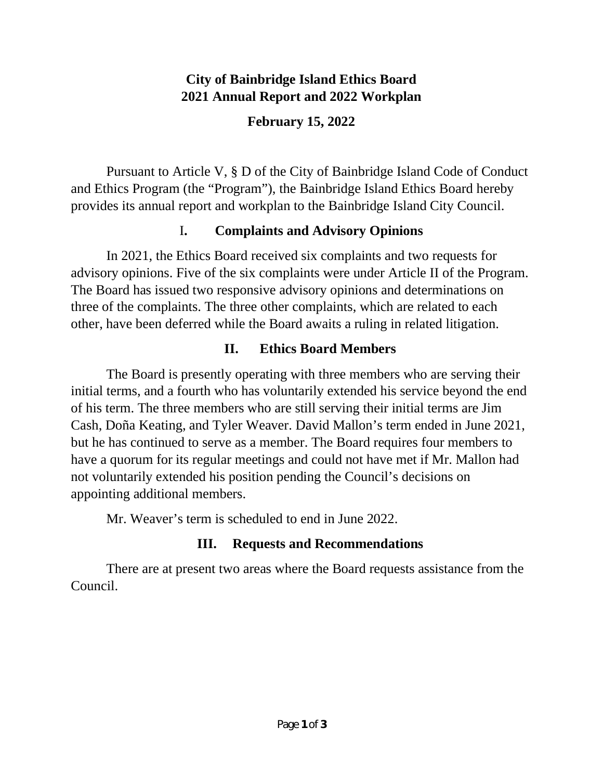#### **City of Bainbridge Island Ethics Board 2021 Annual Report and 2022 Workplan**

**February 15, 2022**

Pursuant to Article V, § D of the City of Bainbridge Island Code of Conduct and Ethics Program (the "Program"), the Bainbridge Island Ethics Board hereby provides its annual report and workplan to the Bainbridge Island City Council.

### I**. Complaints and Advisory Opinions**

In 2021, the Ethics Board received six complaints and two requests for advisory opinions. Five of the six complaints were under Article II of the Program. The Board has issued two responsive advisory opinions and determinations on three of the complaints. The three other complaints, which are related to each other, have been deferred while the Board awaits a ruling in related litigation.

### **II. Ethics Board Members**

The Board is presently operating with three members who are serving their initial terms, and a fourth who has voluntarily extended his service beyond the end of his term. The three members who are still serving their initial terms are Jim Cash, Doña Keating, and Tyler Weaver. David Mallon's term ended in June 2021, but he has continued to serve as a member. The Board requires four members to have a quorum for its regular meetings and could not have met if Mr. Mallon had not voluntarily extended his position pending the Council's decisions on appointing additional members.

Mr. Weaver's term is scheduled to end in June 2022.

## **III. Requests and Recommendations**

There are at present two areas where the Board requests assistance from the Council.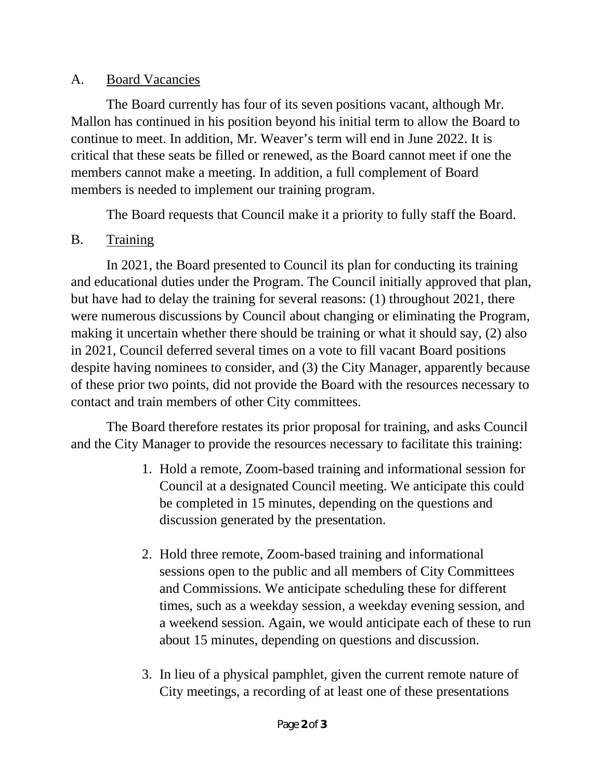#### A. Board Vacancies

The Board currently has four of its seven positions vacant, although Mr. Mallon has continued in his position beyond his initial term to allow the Board to continue to meet. In addition, Mr. Weaver's term will end in June 2022. It is critical that these seats be filled or renewed, as the Board cannot meet if one the members cannot make a meeting. In addition, a full complement of Board members is needed to implement our training program.

The Board requests that Council make it a priority to fully staff the Board.

#### B. Training

In 2021, the Board presented to Council its plan for conducting its training and educational duties under the Program. The Council initially approved that plan, but have had to delay the training for several reasons: (1) throughout 2021, there were numerous discussions by Council about changing or eliminating the Program, making it uncertain whether there should be training or what it should say, (2) also in 2021, Council deferred several times on a vote to fill vacant Board positions despite having nominees to consider, and (3) the City Manager, apparently because of these prior two points, did not provide the Board with the resources necessary to contact and train members of other City committees.

The Board therefore restates its prior proposal for training, and asks Council and the City Manager to provide the resources necessary to facilitate this training:

- 1. Hold a remote, Zoom-based training and informational session for Council at a designated Council meeting. We anticipate this could be completed in 15 minutes, depending on the questions and discussion generated by the presentation.
- 2. Hold three remote, Zoom-based training and informational sessions open to the public and all members of City Committees and Commissions. We anticipate scheduling these for different times, such as a weekday session, a weekday evening session, and a weekend session. Again, we would anticipate each of these to run about 15 minutes, depending on questions and discussion.
- 3. In lieu of a physical pamphlet, given the current remote nature of City meetings, a recording of at least one of these presentations